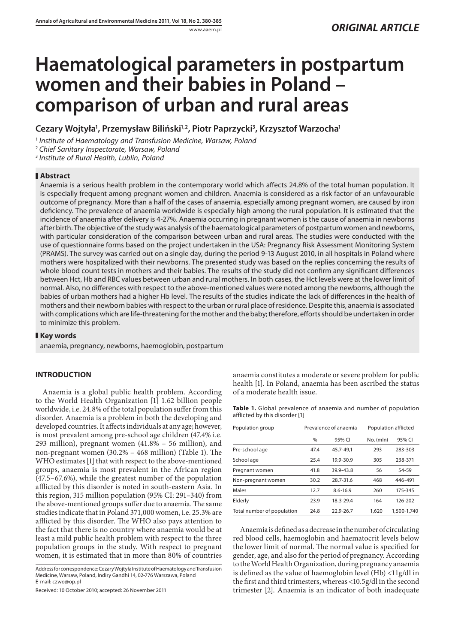# **Haematological parameters in postpartum women and their babies in Poland – comparison of urban and rural areas**

**Cezary Wojtyła1 , Przemysław Biliński1,2, Piotr Paprzycki3 , Krzysztof Warzocha1**

<sup>1</sup> Institute of Haematology and Transfusion Medicine, Warsaw, Poland

<sup>2</sup> Chief Sanitary Inspectorate, Warsaw, Poland

<sup>3</sup> Institute of Rural Health, Lublin, Poland

# **Abstract**

Anaemia is a serious health problem in the contemporary world which affects 24.8% of the total human population. It is especially frequent among pregnant women and children. Anaemia is considered as a risk factor of an unfavourable outcome of pregnancy. More than a half of the cases of anaemia, especially among pregnant women, are caused by iron deficiency. The prevalence of anaemia worldwide is especially high among the rural population. It is estimated that the incidence of anaemia after delivery is 4-27%. Anaemia occurring in pregnant women is the cause of anaemia in newborns after birth. The objective of the study was analysis of the haematological parameters of postpartum women and newborns, with particular consideration of the comparison between urban and rural areas. The studies were conducted with the use of questionnaire forms based on the project undertaken in the USA: Pregnancy Risk Assessment Monitoring System (PRAMS). The survey was carried out on a single day, during the period 9-13 August 2010, in all hospitals in Poland where mothers were hospitalized with their newborns. The presented study was based on the replies concerning the results of whole blood count tests in mothers and their babies. The results of the study did not confirm any significant differences between Hct, Hb and RBC values between urban and rural mothers. In both cases, the Hct levels were at the lower limit of normal. Also, no differences with respect to the above-mentioned values were noted among the newborns, although the babies of urban mothers had a higher Hb level. The results of the studies indicate the lack of differences in the health of mothers and their newborn babies with respect to the urban or rural place of residence. Despite this, anaemia is associated with complications which are life-threatening for the mother and the baby; therefore, efforts should be undertaken in order to minimize this problem.

# **Key words**

anaemia, pregnancy, newborns, haemoglobin, postpartum

# **INTRODUCTION**

Anaemia is a global public health problem. According to the World Health Organization [1] 1.62 billion people worldwide, i.e. 24.8% of the total population suffer from this disorder. Anaemia is a problem in both the developing and developed countries. It affects individuals at any age; however, is most prevalent among pre-school age children (47.4% i.e. 293 million), pregnant women (41.8% – 56 million), and non-pregnant women  $(30.2\% - 468 \text{ million})$  (Table 1). The WHO estimates [1] that with respect to the above-mentioned groups, anaemia is most prevalent in the African region (47.5–67.6%), while the greatest number of the population afflicted by this disorder is noted in south-eastern Asia. In this region, 315 million population (95% CI: 291–340) from the above-mentioned groups suffer due to anaemia. The same studies indicate that in Poland 371,000 women, i.e. 25.3% are afflicted by this disorder. The WHO also pays attention to the fact that there is no country where anaemia would be at least a mild public health problem with respect to the three population groups in the study. With respect to pregnant women, it is estimated that in more than 80% of countries

Address for correspondence: Cezary Wojtyła Institute of Haematology and Transfusion Medicine, Warsaw, Poland, Indiry Gandhi 14, 02-776 Warszawa, Poland E-mail: czwo@op.pl

Received: 10 October 2010; accepted: 26 November 2011

anaemia constitutes a moderate or severe problem for public health [1]. In Poland, anaemia has been ascribed the status of a moderate health issue.

**Table 1.** Global prevalence of anaemia and number of population afflicted by this disorder [1]

| Population group           | Prevalence of anaemia |           | Population afflicted |             |
|----------------------------|-----------------------|-----------|----------------------|-------------|
|                            | $\frac{0}{0}$         | 95% CI    | No. (mln)            | 95% CI      |
| Pre-school age             | 47.4                  | 45.7-49.1 | 293                  | 283-303     |
| School age                 | 25.4                  | 19.9-30.9 | 305                  | 238-371     |
| Pregnant women             | 41.8                  | 39.9-43.8 | 56                   | 54-59       |
| Non-pregnant women         | 30.2                  | 28.7-31.6 | 468                  | 446-491     |
| Males                      | 12.7                  | 8.6-16.9  | 260                  | 175-345     |
| Elderly                    | 23.9                  | 18.3-29.4 | 164                  | 126-202     |
| Total number of population | 24.8                  | 22.9-26.7 | 1,620                | 1,500-1,740 |

Anaemia is defined as a decrease in the number of circulating red blood cells, haemoglobin and haematocrit levels below the lower limit of normal. The normal value is specified for gender, age, and also for the period of pregnancy. According to the World Health Organization, during pregnancy anaemia is defined as the value of haemoglobin level (Hb) <11g/dl in the first and third trimesters, whereas <10.5g/dl in the second trimester [2]. Anaemia is an indicator of both inadequate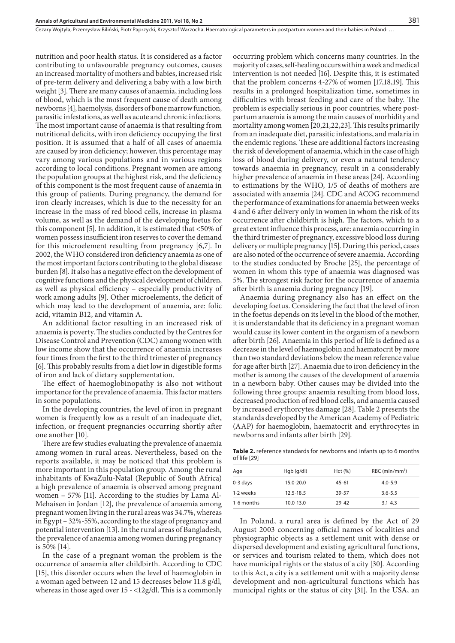nutrition and poor health status. It is considered as a factor contributing to unfavourable pregnancy outcomes, causes an increased mortality of mothers and babies, increased risk of pre-term delivery and delivering a baby with a low birth weight [3]. There are many causes of anaemia, including loss of blood, which is the most frequent cause of death among newborns [4], haemolysis, disorders of bone marrow function, parasitic infestations, as well as acute and chronic infections. The most important cause of anaemia is that resulting from nutritional deficits, with iron deficiency occupying the first position. It is assumed that a half of all cases of anaemia are caused by iron deficiency; however, this percentage may vary among various populations and in various regions according to local conditions. Pregnant women are among the population groups at the highest risk, and the deficiency of this component is the most frequent cause of anaemia in this group of patients. During pregnancy, the demand for iron clearly increases, which is due to the necessity for an increase in the mass of red blood cells, increase in plasma volume, as well as the demand of the developing foetus for this component [5]. In addition, it is estimated that <50% of women possess insufficient iron reserves to cover the demand for this microelement resulting from pregnancy [6,7]. In 2002, the WHO considered iron deficiency anaemia as one of the most important factors contributing to the global disease burden [8]. It also has a negative effect on the development of cognitive functions and the physical development of children, as well as physical efficiency – especially productivity of work among adults [9]. Other microelements, the deficit of which may lead to the development of anaemia, are: folic acid, vitamin B12, and vitamin A.

An additional factor resulting in an increased risk of anaemia is poverty. The studies conducted by the Centres for Disease Control and Prevention (CDC) among women with low income show that the occurrence of anaemia increases four times from the first to the third trimester of pregnancy [6]. This probably results from a diet low in digestible forms of iron and lack of dietary supplementation.

The effect of haemoglobinopathy is also not without importance for the prevalence of anaemia. This factor matters in some populations.

In the developing countries, the level of iron in pregnant women is frequently low as a result of an inadequate diet, infection, or frequent pregnancies occurring shortly after one another [10].

There are few studies evaluating the prevalence of anaemia among women in rural areas. Nevertheless, based on the reports available, it may be noticed that this problem is more important in this population group. Among the rural inhabitants of KwaZulu-Natal (Republic of South Africa) a high prevalence of anaemia is observed among pregnant women – 57% [11]. According to the studies by Lama Al-Mehaisen in Jordan [12], the prevalence of anaemia among pregnant women living in the rural areas was 34.7%, whereas in Egypt – 32%-55%, according to the stage of pregnancy and potential intervention [13]. In the rural areas of Bangladesh, the prevalence of anaemia among women during pregnancy is 50% [14].

In the case of a pregnant woman the problem is the occurrence of anaemia after childbirth. According to CDC [15], this disorder occurs when the level of haemoglobin in a woman aged between 12 and 15 decreases below 11.8 g/dl, whereas in those aged over  $15 - <12g/dl$ . This is a commonly occurring problem which concerns many countries. In the majority of cases, self-healing occurs within a week and medical intervention is not needed [16]. Despite this, it is estimated that the problem concerns  $4-27\%$  of women [17,18,19]. This results in a prolonged hospitalization time, sometimes in difficulties with breast feeding and care of the baby. The problem is especially serious in poor countries, where postpartum anaemia is among the main causes of morbidity and mortality among women [20,21,22,23]. This results primarily from an inadequate diet, parasitic infestations, and malaria in the endemic regions. These are additional factors increasing the risk of development of anaemia, which in the case of high loss of blood during delivery, or even a natural tendency towards anaemia in pregnancy, result in a considerably higher prevalence of anaemia in these areas [24]. According to estimations by the WHO, 1/5 of deaths of mothers are associated with anaemia [24]. CDC and ACOG recommend the performance of examinations for anaemia between weeks 4 and 6 after delivery only in women in whom the risk of its occurrence after childbirth is high. The factors, which to a great extent influence this process, are: anaemia occurring in the third trimester of pregnancy, excessive blood loss during delivery or multiple pregnancy [15]. During this period, cases are also noted of the occurrence of severe anaemia. According to the studies conducted by Broche [25], the percentage of women in whom this type of anaemia was diagnosed was 5%. The strongest risk factor for the occurrence of anaemia after birth is anaemia during pregnancy [19].

Anaemia during pregnancy also has an effect on the developing foetus. Considering the fact that the level of iron in the foetus depends on its level in the blood of the mother, it is understandable that its deficiency in a pregnant woman would cause its lower content in the organism of a newborn after birth [26]. Anaemia in this period of life is defined as a decrease in the level of haemoglobin and haematocrit by more than two standard deviations below the mean reference value for age after birth [27]. Anaemia due to iron deficiency in the mother is among the causes of the development of anaemia in a newborn baby. Other causes may be divided into the following three groups: anaemia resulting from blood loss, decreased production of red blood cells, and anaemia caused by increased erythorcytes damage [28]. Table 2 presents the standards developed by the American Academy of Pediatric (AAP) for haemoglobin, haematocrit and erythrocytes in newborns and infants after birth [29].

**Table 2.** reference standards for newborns and infants up to 6 months of life [29]

| Age        | Hqb(q/dl)     | Hct (%)   | $RBC$ (mln/mm <sup>3</sup> ) |
|------------|---------------|-----------|------------------------------|
| 0-3 days   | $15.0 - 20.0$ | $45 - 61$ | $4.0 - 5.9$                  |
| 1-2 weeks  | $12.5 - 18.5$ | 39-57     | $3.6 - 5.5$                  |
| 1-6 months | $10.0 - 13.0$ | $29 - 42$ | $3.1 - 4.3$                  |

In Poland, a rural area is defined by the Act of 29 August 2003 concerning official names of localities and physiographic objects as a settlement unit with dense or dispersed development and existing agricultural functions, or services and tourism related to them, which does not have municipal rights or the status of a city [30]. According to this Act, a city is a settlement unit with a majority dense development and non-agricultural functions which has municipal rights or the status of city [31]. In the USA, an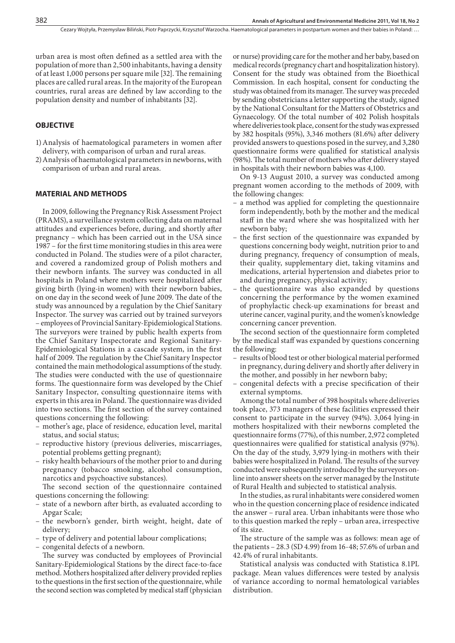urban area is most often defined as a settled area with the population of more than 2,500 inhabitants, having a density of at least 1,000 persons per square mile [32]. The remaining places are called rural areas. In the majority of the European countries, rural areas are defined by law according to the population density and number of inhabitants [32].

## **OBJECTIVE**

- 1) Analysis of haematological parameters in women after delivery, with comparison of urban and rural areas.
- 2) Analysis of haematological parameters in newborns, with comparison of urban and rural areas.

## **MATERIAL AND METHODS**

In 2009, following the Pregnancy Risk Assessment Project (PRAMS), a surveillance system collecting data on maternal attitudes and experiences before, during, and shortly after pregnancy – which has been carried out in the USA since 1987 – for the first time monitoring studies in this area were conducted in Poland. The studies were of a pilot character, and covered a randomized group of Polish mothers and their newborn infants. The survey was conducted in all hospitals in Poland where mothers were hospitalized after giving birth (lying-in women) with their newborn babies, on one day in the second week of June 2009. The date of the study was announced by a regulation by the Chief Sanitary Inspector. The survey was carried out by trained surveyors – employees of Provincial Sanitary-Epidemiological Stations. The surveyors were trained by public health experts from the Chief Sanitary Inspectorate and Regional Sanitary-Epidemiological Stations in a cascade system, in the first half of 2009. The regulation by the Chief Sanitary Inspector contained the main methodological assumptions of the study. The studies were conducted with the use of questionnaire forms. The questionnaire form was developed by the Chief Sanitary Inspector, consulting questionnaire items with experts in this area in Poland. The questionnaire was divided into two sections. The first section of the survey contained questions concerning the following:

- mother's age, place of residence, education level, marital status, and social status;
- reproductive history (previous deliveries, miscarriages, potential problems getting pregnant);
- risky health behaviours of the mother prior to and during pregnancy (tobacco smoking, alcohol consumption, narcotics and psychoactive substances).

The second section of the questionnaire contained questions concerning the following:

- state of a newborn after birth, as evaluated according to Apgar Scale;
- the newborn's gender, birth weight, height, date of delivery;
- type of delivery and potential labour complications;
- congenital defects of a newborn.

The survey was conducted by employees of Provincial Sanitary-Epidemiological Stations by the direct face-to-face method. Mothers hospitalized after delivery provided replies to the questions in the first section of the questionnaire, while the second section was completed by medical staff (physician or nurse) providing care for the mother and her baby, based on medical records (pregnancy chart and hospitalization history). Consent for the study was obtained from the Bioethical Commission. In each hospital, consent for conducting the study was obtained from its manager. The survey was preceded by sending obstetricians a letter supporting the study, signed by the National Consultant for the Matters of Obstetrics and Gynaecology. Of the total number of 402 Polish hospitals where deliveries took place, consent for the study was expressed by 382 hospitals  $(95\%)$ , 3,346 mothers  $(81.6\%)$  after delivery provided answers to questions posed in the survey, and 3,280 questionnaire forms were qualified for statistical analysis (98%). The total number of mothers who after delivery stayed in hospitals with their newborn babies was 4,100.

On 9-13 August 2010, a survey was conducted among pregnant women according to the methods of 2009, with the following changes:

- a method was applied for completing the questionnaire form independently, both by the mother and the medical staff in the ward where she was hospitalized with her newborn baby;
- the first section of the questionnaire was expanded by questions concerning body weight, nutrition prior to and during pregnancy, frequency of consumption of meals, their quality, supplementary diet, taking vitamins and medications, arterial hypertension and diabetes prior to and during pregnancy, physical activity;
- the questionnaire was also expanded by questions concerning the performance by the women examined of prophylactic check-up examinations for breast and uterine cancer, vaginal purity, and the women's knowledge concerning cancer prevention.

The second section of the questionnaire form completed by the medical staff was expanded by questions concerning the following:

- results of blood test or other biological material performed in pregnancy, during delivery and shortly after delivery in the mother, and possibly in her newborn baby;
- congenital defects with a precise specification of their external symptoms.

Among the total number of 398 hospitals where deliveries took place, 373 managers of these facilities expressed their consent to participate in the survey (94%). 3,064 lying-in mothers hospitalized with their newborns completed the questionnaire forms (77%), of this number, 2,972 completed questionnaires were qualified for statistical analysis (97%). On the day of the study, 3,979 lying-in mothers with their babies were hospitalized in Poland. The results of the survey conducted were subsequently introduced by the surveyors online into answer sheets on the server managed by the Institute of Rural Health and subjected to statistical analysis.

In the studies, as rural inhabitants were considered women who in the question concerning place of residence indicated the answer – rural area. Urban inhabitants were those who to this question marked the reply – urban area, irrespective of its size.

The structure of the sample was as follows: mean age of the patients – 28.3 (SD 4.99) from 16-48; 57.6% of urban and 42.4% of rural inhabitants.

Statistical analysis was conducted with Statistica 8.1PL package. Mean values differences were tested by analysis of variance according to normal hematological variables distribution.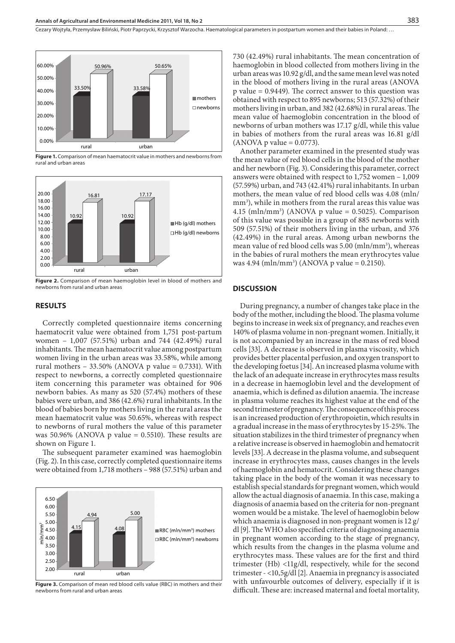Cezary Wojtyła, Przemysław Biliński, Piotr Paprzycki, Krzysztof Warzocha. Haematological parameters in postpartum women and their babies in Poland: …



**Figure 1.** Comparison of mean haematocrit value in mothers and newborns from rural and urban areas



**Figure 2.** Comparison of mean haemoglobin level in blood of mothers and newborns from rural and urban areas

#### **RESULTS**

Correctly completed questionnaire items concerning haematocrit value were obtained from 1,751 post-partum women – 1,007 (57.51%) urban and 744 (42.49%) rural inhabitants. The mean haematocrit value among postpartum women living in the urban areas was 33.58%, while among rural mothers – 33.50% (ANOVA p value =  $0.7331$ ). With respect to newborns, a correctly completed questionnaire item concerning this parameter was obtained for 906 newborn babies. As many as 520 (57.4%) mothers of these babies were urban, and 386 (42.6%) rural inhabitants. In the blood of babies born by mothers living in the rural areas the mean haematocrit value was 50.65%, whereas with respect to newborns of rural mothers the value of this parameter was 50.96% (ANOVA p value =  $0.5510$ ). These results are shown on Figure 1.

The subsequent parameter examined was haemoglobin (Fig. 2). In this case, correctly completed questionnaire items were obtained from 1,718 mothers – 988 (57.51%) urban and



Figure 3. Comparison of mean red blood cells value (RBC) in mothers and their newborns from rural and urban areas

730 (42.49%) rural inhabitants. The mean concentration of haemoglobin in blood collected from mothers living in the urban areas was 10.92 g/dl, and the same mean level was noted in the blood of mothers living in the rural areas (ANOVA p value  $= 0.9449$ ). The correct answer to this question was obtained with respect to 895 newborns; 513 (57.32%) of their mothers living in urban, and 382 (42.68%) in rural areas. The mean value of haemoglobin concentration in the blood of newborns of urban mothers was 17.17 g/dl, while this value in babies of mothers from the rural areas was 16.81 g/dl  $(ANOVA p value = 0.0773).$ 

Another parameter examined in the presented study was the mean value of red blood cells in the blood of the mother and her newborn (Fig. 3). Considering this parameter, correct answers were obtained with respect to 1,752 women – 1,009 (57.59%) urban, and 743 (42.41%) rural inhabitants. In urban mothers, the mean value of red blood cells was 4.08 (mln/ mm<sup>3</sup>), while in mothers from the rural areas this value was 4.15 (mln/mm<sup>3</sup>) (ANOVA p value = 0.5025). Comparison of this value was possible in a group of 885 newborns with 509 (57.51%) of their mothers living in the urban, and 376 (42.49%) in the rural areas. Among urban newborns the mean value of red blood cells was 5.00 (mln/mm<sup>3</sup>), whereas in the babies of rural mothers the mean erythrocytes value was  $4.94 \, (\text{mln/mm}^3) \, (\text{ANOVA p value} = 0.2150).$ 

## **DISCUSSION**

During pregnancy, a number of changes take place in the body of the mother, including the blood. The plasma volume begins to increase in week six of pregnancy, and reaches even 140% of plasma volume in non-pregnant women. Initially, it is not accompanied by an increase in the mass of red blood cells [33]. A decrease is observed in plasma viscosity, which provides better placental perfusion, and oxygen transport to the developing foetus [34]. An increased plasma volume with the lack of an adequate increase in erythrocytes mass results in a decrease in haemoglobin level and the development of anaemia, which is defined as dilution anaemia. The increase in plasma volume reaches its highest value at the end of the second trimester of pregnancy. The consequence of this process is an increased production of erythropoietin, which results in a gradual increase in the mass of erythrocytes by 15-25%. The situation stabilizes in the third trimester of pregnancy when a relative increase is observed in haemoglobin and hematocrit levels [33]. A decrease in the plasma volume, and subsequent increase in erythrocytes mass, causes changes in the levels of haemoglobin and hematocrit. Considering these changes taking place in the body of the woman it was necessary to establish special standards for pregnant women, which would allow the actual diagnosis of anaemia. In this case, making a diagnosis of anaemia based on the criteria for non-pregnant women would be a mistake. The level of haemoglobin below which anaemia is diagnosed in non-pregnant women is 12 g/ dl [9]. The WHO also specified criteria of diagnosing anaemia in pregnant women according to the stage of pregnancy, which results from the changes in the plasma volume and erythrocytes mass. These values are for the first and third trimester (Hb) <11g/dl, respectively, while for the second trimester - <10,5g/dl [2]. Anaemia in pregnancy is associated with unfavourble outcomes of delivery, especially if it is difficult. These are: increased maternal and foetal mortality,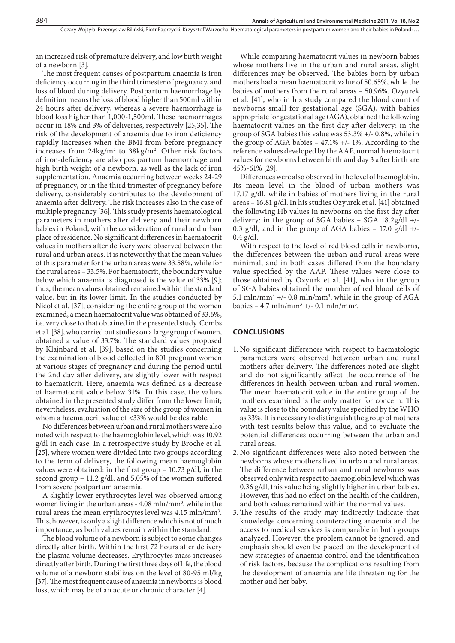an increased risk of premature delivery, and low birth weight of a newborn [3].

The most frequent causes of postpartum anaemia is iron deficiency occurring in the third trimester of pregnancy, and loss of blood during delivery. Postpartum haemorrhage by definition means the loss of blood higher than 500ml within 24 hours after delivery, whereas a severe haemorrhage is blood loss higher than 1,000-1,500ml. These haemorrhages occur in 18% and 3% of deliveries, respectively [25,35]. The risk of the development of anaemia due to iron deficiency rapidly increases when the BMI from before pregnancy increases from  $24\text{kg/m}^2$  to  $38\text{kg/m}^2$ . Other risk factors of iron-deficiency are also postpartum haemorrhage and high birth weight of a newborn, as well as the lack of iron supplementation. Anaemia occurring between weeks 24-29 of pregnancy, or in the third trimester of pregnancy before delivery, considerably contributes to the development of anaemia after delivery. The risk increases also in the case of multiple pregnancy [36]. This study presents haematological parameters in mothers after delivery and their newborn babies in Poland, with the consideration of rural and urban place of residence. No significant differences in haematocrit values in mothers after delivery were observed between the rural and urban areas. It is noteworthy that the mean values of this parameter for the urban areas were 33.58%, while for the rural areas – 33.5%. For haematocrit, the boundary value below which anaemia is diagnosed is the value of 33% [9]; thus, the mean values obtained remained within the standard value, but in its lower limit. In the studies conducted by Nicol et al. [37], considering the entire group of the women examined, a mean haematocrit value was obtained of 33.6%, i.e. very close to that obtained in the presented study. Combs et al. [38], who carried out studies on a large group of women, obtained a value of 33.7%. The standard values proposed by Klajnbard et al. [39], based on the studies concerning the examination of blood collected in 801 pregnant women at various stages of pregnancy and during the period until the 2nd day after delivery, are slightly lower with respect to haematicrit. Here, anaemia was defined as a decrease of haematocrit value below 31%. In this case, the values obtained in the presented study differ from the lower limit; nevertheless, evaluation of the size of the group of women in whom a haematocrit value of <33% would be desirable.

No differences between urban and rural mothers were also noted with respect to the haemoglobin level, which was 10.92 g/dl in each case. In a retrospective study by Broche et al. [25], where women were divided into two groups according to the term of delivery, the following mean haemoglobin values were obtained: in the first group  $-10.73$  g/dl, in the second group  $-11.2$  g/dl, and 5.05% of the women suffered from severe postpartum anaemia.

A slightly lower erythrocytes level was observed among women living in the urban areas - 4.08 mln/mm<sup>3</sup>, while in the rural areas the mean erythrocytes level was 4.15 mln/mm<sup>3</sup>. This, however, is only a slight difference which is not of much importance, as both values remain within the standard.

The blood volume of a newborn is subject to some changes directly after birth. Within the first 72 hours after delivery the plasma volume decreases. Erythrocytes mass increases directly after birth. During the first three days of life, the blood volume of a newborn stabilizes on the level of 80-95 ml/kg [37]. The most frequent cause of anaemia in newborns is blood loss, which may be of an acute or chronic character [4].

While comparing haematocrit values in newborn babies whose mothers live in the urban and rural areas, slight differences may be observed. The babies born by urban mothers had a mean haematocrit value of 50.65%, while the babies of mothers from the rural areas – 50.96%. Ozyurek et al. [41], who in his study compared the blood count of newborns small for gestational age (SGA), with babies appropriate for gestational age (AGA), obtained the following haematocrit values on the first day after delivery: in the group of SGA babies this value was 53.3% +/- 0.8%, while in the group of AGA babies – 47.1% +/- 1%. According to the reference values developed by the AAP, normal haematocrit values for newborns between birth and day 3 after birth are 45%-61% [29].

Differences were also observed in the level of haemoglobin. Its mean level in the blood of urban mothers was 17.17 g/dl, while in babies of mothers living in the rural areas – 16.81 g/dl. In his studies Ozyurek et al. [41] obtained the following Hb values in newborns on the first day after delivery: in the group of SGA babies – SGA 18.2g/dl +/- 0.3 g/dl, and in the group of AGA babies – 17.0 g/dl +/- 0.4 g/dl.

With respect to the level of red blood cells in newborns, the differences between the urban and rural areas were minimal, and in both cases differed from the boundary value specified by the AAP. These values were close to those obtained by Ozyurk et al. [41], who in the group of SGA babies obtained the number of red blood cells of 5.1 mln/mm<sup>3</sup> +/- 0.8 mln/mm<sup>3</sup>, while in the group of AGA babies –  $4.7 \text{ mln/mm}^3 +/- 0.1 \text{ mln/mm}^3$ .

## **CONCLUSIONS**

- 1. No significant differences with respect to haematologic parameters were observed between urban and rural mothers after delivery. The differences noted are slight and do not significantly affect the occurrence of the differences in health between urban and rural women. The mean haematocrit value in the entire group of the mothers examined is the only matter for concern. This value is close to the boundary value specified by the WHO as 33%. It is necessary to distinguish the group of mothers with test results below this value, and to evaluate the potential differences occurring between the urban and rural areas.
- 2. No significant differences were also noted between the newborns whose mothers lived in urban and rural areas. The difference between urban and rural newborns was observed only with respect to haemoglobin level which was 0.36 g/dl, this value being slightly higher in urban babies. However, this had no effect on the health of the children, and both values remained within the normal values.
- 3. The results of the study may indirectly indicate that knowledge concerning counteracting anaemia and the access to medical services is comparable in both groups analyzed. However, the problem cannot be ignored, and emphasis should even be placed on the development of new strategies of anaemia control and the identification of risk factors, because the complications resulting from the development of anaemia are life threatening for the mother and her baby.